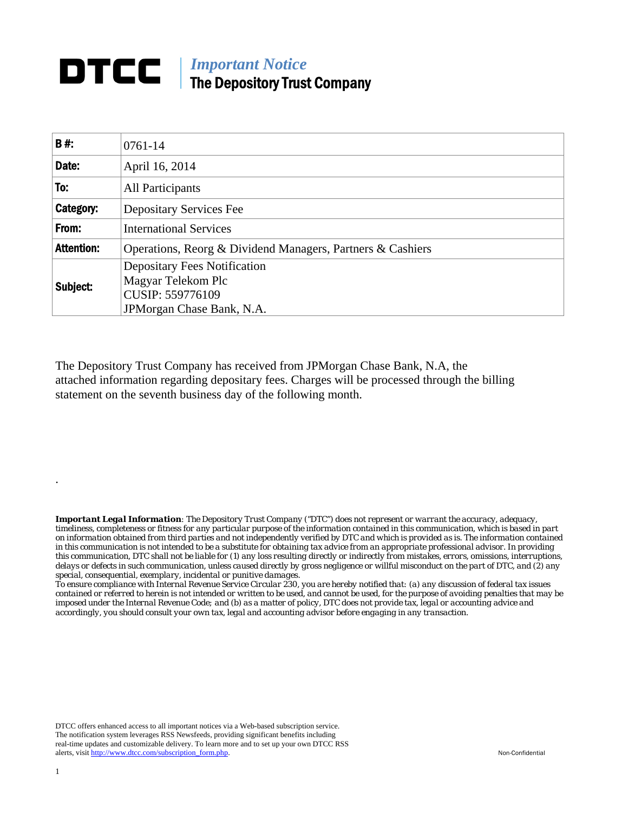## **DTCC** | *Important Notice* The Depository Trust Company

| B#:               | $0761 - 14$                                                |  |  |  |  |  |
|-------------------|------------------------------------------------------------|--|--|--|--|--|
| Date:             | April 16, 2014                                             |  |  |  |  |  |
| To:               | <b>All Participants</b>                                    |  |  |  |  |  |
| Category:         | <b>Depositary Services Fee</b>                             |  |  |  |  |  |
| From:             | <b>International Services</b>                              |  |  |  |  |  |
| <b>Attention:</b> | Operations, Reorg & Dividend Managers, Partners & Cashiers |  |  |  |  |  |
| Subject:          | <b>Depositary Fees Notification</b><br>Magyar Telekom Plc  |  |  |  |  |  |
|                   | CUSIP: 559776109                                           |  |  |  |  |  |
|                   | JPM organ Chase Bank, N.A.                                 |  |  |  |  |  |

The Depository Trust Company has received from JPMorgan Chase Bank, N.A, the attached information regarding depositary fees. Charges will be processed through the billing statement on the seventh business day of the following month.

*Important Legal Information: The Depository Trust Company ("DTC") does not represent or warrant the accuracy, adequacy, timeliness, completeness or fitness for any particular purpose of the information contained in this communication, which is based in part on information obtained from third parties and not independently verified by DTC and which is provided as is. The information contained in this communication is not intended to be a substitute for obtaining tax advice from an appropriate professional advisor. In providing this communication, DTC shall not be liable for (1) any loss resulting directly or indirectly from mistakes, errors, omissions, interruptions, delays or defects in such communication, unless caused directly by gross negligence or willful misconduct on the part of DTC, and (2) any special, consequential, exemplary, incidental or punitive damages.* 

*To ensure compliance with Internal Revenue Service Circular 230, you are hereby notified that: (a) any discussion of federal tax issues contained or referred to herein is not intended or written to be used, and cannot be used, for the purpose of avoiding penalties that may be imposed under the Internal Revenue Code; and (b) as a matter of policy, DTC does not provide tax, legal or accounting advice and accordingly, you should consult your own tax, legal and accounting advisor before engaging in any transaction.*

DTCC offers enhanced access to all important notices via a Web-based subscription service. The notification system leverages RSS Newsfeeds, providing significant benefits including real-time updates and customizable delivery. To learn more and to set up your own DTCC RSS alerts, visit http://www.dtcc.com/subscription\_form.php. Non-Confidential

.